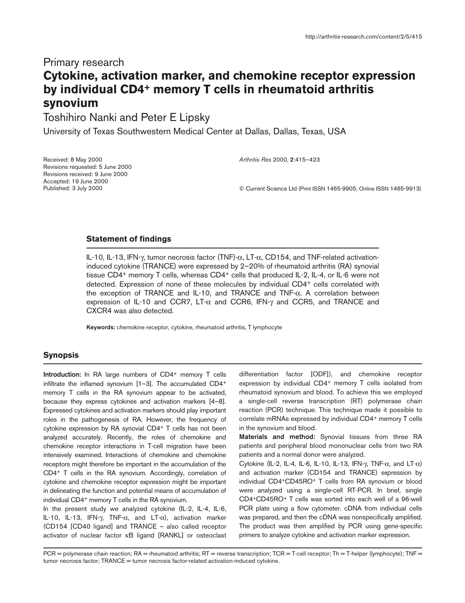# Primary research **Cytokine, activation marker, and chemokine receptor expression by individual CD4+ memory T cells in rheumatoid arthritis synovium**

Toshihiro Nanki and Peter E Lipsky

University of Texas Southwestern Medical Center at Dallas, Dallas, Texas, USA

Received: 8 May 2000 Revisions requested: 5 June 2000 Revisions received: 9 June 2000 Accepted: 19 June 2000 Published: 3 July 2000

*Arthritis Res* 2000, **2**:415–423

© Current Science Ltd (Print ISSN 1465-9905; Online ISSN 1465-9913)

### **Statement of findings**

IL-10, IL-13, IFN-γ, tumor necrosis factor (TNF)-α, LT-α, CD154, and TNF-related activationinduced cytokine (TRANCE) were expressed by 2–20% of rheumatoid arthritis (RA) synovial tissue CD4+ memory T cells, whereas CD4+ cells that produced IL-2, IL-4, or IL-6 were not detected. Expression of none of these molecules by individual CD4+ cells correlated with the exception of TRANCE and IL-10, and TRANCE and TNF-α. A correlation between expression of IL-10 and CCR7, LT- $\alpha$  and CCR6, IFN- $\gamma$  and CCR5, and TRANCE and CXCR4 was also detected.

**Keywords:** chemokine receptor, cytokine, rheumatoid arthritis, T lymphocyte

# **Synopsis**

**Introduction:** In RA large numbers of CD4<sup>+</sup> memory T cells infiltrate the inflamed synovium [1–3]. The accumulated CD4+ memory T cells in the RA synovium appear to be activated, because they express cytokines and activation markers [4–8]. Expressed cytokines and activation markers should play important roles in the pathogenesis of RA. However, the frequency of cytokine expression by RA synovial CD4+ T cells has not been analyzed accurately. Recently, the roles of chemokine and chemokine receptor interactions in T-cell migration have been intensively examined. Interactions of chemokine and chemokine receptors might therefore be important in the accumulation of the CD4+ T cells in the RA synovium. Accordingly, correlation of cytokine and chemokine receptor expression might be important in delineating the function and potential means of accumulation of individual CD4<sup>+</sup> memory T cells in the RA synovium.

In the present study we analyzed cytokine (IL-2, IL-4, IL-6, IL-10, IL-13, IFN-γ, TNF-α, and LT-α), activation marker (CD154 [CD40 ligand] and TRANCE – also called receptor activator of nuclear factor κB ligand [RANKL] or osteoclast differentiation factor [ODF]), and chemokine receptor expression by individual CD4+ memory T cells isolated from rheumatoid synovium and blood. To achieve this we employed a single-cell reverse transcription (RT) polymerase chain reaction (PCR) technique. This technique made it possible to correlate mRNAs expressed by individual CD4+ memory T cells in the synovium and blood.

**Materials and method:** Synovial tissues from three RA patients and peripheral blood mononuclear cells from two RA patients and a normal donor were analyzed.

Cytokine (IL-2, IL-4, IL-6, IL-10, IL-13, IFN-γ, TNF- $\alpha$ , and LT- $\alpha$ ) and activation marker (CD154 and TRANCE) expression by individual CD4+CD45RO+ T cells from RA synovium or blood were analyzed using a single-cell RT-PCR. In brief, single CD4+CD45RO+ T cells was sorted into each well of a 96-well PCR plate using a flow cytometer. cDNA from individual cells was prepared, and then the cDNA was nonspecifically amplified. The product was then amplified by PCR using gene-specific primers to analyze cytokine and activation marker expression.

PCR = polymerase chain reaction; RA = rheumatoid arthritis; RT = reverse transcription; TCR = T-cell receptor; Th = T-helper (lymphocyte); TNF = tumor necrosis factor; TRANCE = tumor necrosis factor-related activation-induced cytokine.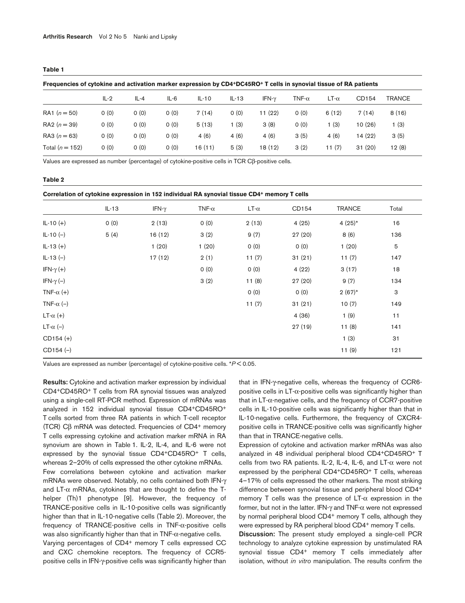#### **Table 1**

**Frequencies of cytokine and activation marker expression by CD4+DC45RO+ T cells in synovial tissue of RA patients**

|                   | $IL-2$ | $IL - 4$ | $IL-6$ | $IL-10$ | $IL-13$ | IFN- $\gamma$ | TNF- $\alpha$ | $LT-\alpha$ | CD154   | <b>TRANCE</b> |
|-------------------|--------|----------|--------|---------|---------|---------------|---------------|-------------|---------|---------------|
| RA1 $(n = 50)$    | 0(0)   | 0(0)     | 0(0)   | 7(14)   | 0(0)    | 11(22)        | 0(0)          | 6(12)       | 7(14)   | 8(16)         |
| RA2 $(n = 39)$    | 0(0)   | 0(0)     | 0(0)   | 5(13)   | 1 (3)   | 3(8)          | O(0)          | l (3)       | 10(26)  | 1 (3)         |
| RA3 $(n = 63)$    | 0(0)   | 0(0)     | 0(0)   | 4(6)    | 4(6)    | 4(6)          | 3(5)          | 4(6)        | 14 (22) | 3(5)          |
| Total $(n = 152)$ | 0(0)   | O(0)     | 0(0)   | 16 (11) | 5(3)    | 18 (12)       | 3(2)          | 11(7)       | 31(20)  | 12(8)         |

Values are expressed as number (percentage) of cytokine-positive cells in TCR Cβ-positive cells.

#### **Table 2**

| Correlation of cytokine expression in 152 individual RA synovial tissue CD4+ memory T cells |  |  |
|---------------------------------------------------------------------------------------------|--|--|
|---------------------------------------------------------------------------------------------|--|--|

|                   | $IL-13$ | IFN- $\gamma$ | TNF- $\alpha$ | $LT-\alpha$ | CD154   | <b>TRANCE</b> | Total                     |
|-------------------|---------|---------------|---------------|-------------|---------|---------------|---------------------------|
| $IL-10 (+)$       | O(0)    | 2(13)         | O(0)          | 2(13)       | 4(25)   | $4(25)^{*}$   | 16                        |
| $IL-10(-)$        | 5(4)    | 16(12)        | 3(2)          | 9(7)        | 27 (20) | 8(6)          | 136                       |
| $IL-13 (+)$       |         | 1(20)         | 1(20)         | 0(0)        | O(0)    | 1(20)         | 5                         |
| $IL-13(-)$        |         | 17(12)        | 2(1)          | 11(7)       | 31(21)  | 11(7)         | 147                       |
| IFN- $\gamma$ (+) |         |               | 0(0)          | 0(0)        | 4(22)   | 3(17)         | 18                        |
| IFN- $\gamma$ (-) |         |               | 3(2)          | 11(8)       | 27 (20) | 9(7)          | 134                       |
| TNF- $\alpha$ (+) |         |               |               | 0(0)        | O(0)    | $2(67)*$      | $\ensuremath{\mathsf{3}}$ |
| TNF- $\alpha$ (-) |         |               |               | 11(7)       | 31(21)  | 10(7)         | 149                       |
| $LT-\alpha (+)$   |         |               |               |             | 4(36)   | 1(9)          | 11                        |
| LT- $\alpha$ (-)  |         |               |               |             | 27 (19) | 11(8)         | 141                       |
| $CD154 (+)$       |         |               |               |             |         | 1(3)          | 31                        |
| $CD154 (-)$       |         |               |               |             |         | 11(9)         | 121                       |

Values are expressed as number (percentage) of cytokine-positive cells. \**P* < 0.05.

**Results:** Cytokine and activation marker expression by individual CD4+CD45RO+ T cells from RA synovial tissues was analyzed using a single-cell RT-PCR method. Expression of mRNAs was analyzed in 152 individual synovial tissue CD4+CD45RO+ T cells sorted from three RA patients in which T-cell receptor (TCR) Cβ mRNA was detected. Frequencies of CD4+ memory T cells expressing cytokine and activation marker mRNA in RA synovium are shown in Table 1. IL-2, IL-4, and IL-6 were not expressed by the synovial tissue CD4+CD45RO+ T cells, whereas 2–20% of cells expressed the other cytokine mRNAs. Few correlations between cytokine and activation marker mRNAs were observed. Notably, no cells contained both IFN-γ and LT- $\alpha$  mRNAs, cytokines that are thought to define the Thelper (Th)1 phenotype [9]. However, the frequency of TRANCE-positive cells in IL-10-positive cells was significantly higher than that in IL-10-negative cells (Table 2). Moreover, the frequency of TRANCE-positive cells in TNF-α-positive cells was also significantly higher than that in TNF-α-negative cells. Varying percentages of CD4+ memory T cells expressed CC

and CXC chemokine receptors. The frequency of CCR5 positive cells in IFN-γ-positive cells was significantly higher than that in IFN-γ-negative cells, whereas the frequency of CCR6 positive cells in  $LT$ - $\alpha$ -positive cells was significantly higher than that in  $LT-\alpha$ -negative cells, and the frequency of CCR7-positive cells in IL-10-positive cells was significantly higher than that in IL-10-negative cells. Furthermore, the frequency of CXCR4 positive cells in TRANCE-positive cells was significantly higher than that in TRANCE-negative cells.

Expression of cytokine and activation marker mRNAs was also analyzed in 48 individual peripheral blood CD4+CD45RO+ T cells from two RA patients. IL-2, IL-4, IL-6, and LT-α were not expressed by the peripheral CD4+CD45RO+ T cells, whereas 4–17% of cells expressed the other markers. The most striking difference between synovial tissue and peripheral blood CD4+ memory T cells was the presence of  $LT-\alpha$  expression in the former, but not in the latter. IFN-γ and TNF-α were not expressed by normal peripheral blood CD4<sup>+</sup> memory T cells, although they were expressed by RA peripheral blood CD4<sup>+</sup> memory T cells.

**Discussion:** The present study employed a single-cell PCR technology to analyze cytokine expression by unstimulated RA synovial tissue CD4<sup>+</sup> memory T cells immediately after isolation, without *in vitro* manipulation. The results confirm the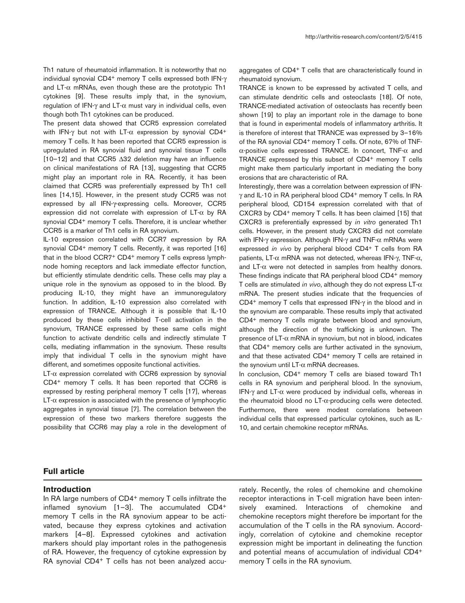Th1 nature of rheumatoid inflammation. It is noteworthy that no individual synovial CD4+ memory T cells expressed both IFN-γ and  $LT-\alpha$  mRNAs, even though these are the prototypic Th1 cytokines [9]. These results imply that, in the synovium, regulation of IFN-γ and LT-α must vary in individual cells, even though both Th1 cytokines can be produced.

The present data showed that CCR5 expression correlated with IFN-γ but not with LT-α expression by synovial CD4<sup>+</sup> memory T cells. It has been reported that CCR5 expression is upregulated in RA synovial fluid and synovial tissue T cells [10–12] and that CCR5 ∆32 deletion may have an influence on clinical manifestations of RA [13], suggesting that CCR5 might play an important role in RA. Recently, it has been claimed that CCR5 was preferentially expressed by Th1 cell lines [14,15]. However, in the present study CCR5 was not expressed by all IFN-γ-expressing cells. Moreover, CCR5 expression did not correlate with expression of  $LT-\alpha$  by RA synovial CD4<sup>+</sup> memory T cells. Therefore, it is unclear whether CCR5 is a marker of Th1 cells in RA synovium.

IL-10 expression correlated with CCR7 expression by RA synovial CD4<sup>+</sup> memory T cells. Recently, it was reported [16] that in the blood CCR7+ CD4+ memory T cells express lymphnode homing receptors and lack immediate effector function, but efficiently stimulate dendritic cells. These cells may play a unique role in the synovium as opposed to in the blood. By producing IL-10, they might have an immunoregulatory function. In addition, IL-10 expression also correlated with expression of TRANCE. Although it is possible that IL-10 produced by these cells inhibited T-cell activation in the synovium, TRANCE expressed by these same cells might function to activate dendritic cells and indirectly stimulate T cells, mediating inflammation in the synovium. These results imply that individual T cells in the synovium might have different, and sometimes opposite functional activities.

 $LT-\alpha$  expression correlated with CCR6 expression by synovial CD4+ memory T cells. It has been reported that CCR6 is expressed by resting peripheral memory T cells [17], whereas  $LT-\alpha$  expression is associated with the presence of lymphocytic aggregates in synovial tissue [7]. The correlation between the expression of these two markers therefore suggests the possibility that CCR6 may play a role in the development of

aggregates of CD4+ T cells that are characteristically found in rheumatoid synovium.

TRANCE is known to be expressed by activated T cells, and can stimulate dendritic cells and osteoclasts [18]. Of note, TRANCE-mediated activation of osteoclasts has recently been shown [19] to play an important role in the damage to bone that is found in experimental models of inflammatory arthritis. It is therefore of interest that TRANCE was expressed by 3–16% of the RA synovial CD4<sup>+</sup> memory T cells. Of note, 67% of TNFα-positive cells expressed TRANCE. In concert, TNF-α and TRANCE expressed by this subset of CD4+ memory T cells might make them particularly important in mediating the bony erosions that are characteristic of RA.

Interestingly, there was a correlation between expression of IFNγ and IL-10 in RA peripheral blood CD4+ memory T cells. In RA peripheral blood, CD154 expression correlated with that of CXCR3 by CD4+ memory T cells. It has been claimed [15] that CXCR3 is preferentially expressed by *in vitro* generated Th1 cells. However, in the present study CXCR3 did not correlate with IFN-γ expression. Although IFN-γ and TNF-α mRNAs were expressed *in vivo* by peripheral blood CD4+ T cells from RA patients, LT-α mRNA was not detected, whereas IFN-γ, TNF-α, and LT-α were not detected in samples from healthy donors. These findings indicate that RA peripheral blood CD4+ memory T cells are stimulated *in vivo*, although they do not express LT-α mRNA. The present studies indicate that the frequencies of CD4+ memory T cells that expressed IFN-γ in the blood and in the synovium are comparable. These results imply that activated CD4+ memory T cells migrate between blood and synovium, although the direction of the trafficking is unknown. The presence of LT-α mRNA in synovium, but not in blood, indicates that CD4+ memory cells are further activated in the synovium, and that these activated CD4<sup>+</sup> memory T cells are retained in the synovium until  $LT-\alpha$  mRNA decreases.

In conclusion, CD4+ memory T cells are biased toward Th1 cells in RA synovium and peripheral blood. In the synovium, IFN-γ and LT-α were produced by individual cells, whereas in the rheumatoid blood no LT-α-producing cells were detected. Furthermore, there were modest correlations between individual cells that expressed particular cytokines, such as IL-10, and certain chemokine receptor mRNAs.

### **Full article**

# **Introduction**

In RA large numbers of CD4<sup>+</sup> memory T cells infiltrate the inflamed synovium [1–3]. The accumulated CD4+ memory T cells in the RA synovium appear to be activated, because they express cytokines and activation markers [4–8]. Expressed cytokines and activation markers should play important roles in the pathogenesis of RA. However, the frequency of cytokine expression by RA synovial CD4+ T cells has not been analyzed accurately. Recently, the roles of chemokine and chemokine receptor interactions in T-cell migration have been intensively examined. Interactions of chemokine and chemokine receptors might therefore be important for the accumulation of the T cells in the RA synovium. Accordingly, correlation of cytokine and chemokine receptor expression might be important in delineating the function and potential means of accumulation of individual CD4+ memory T cells in the RA synovium.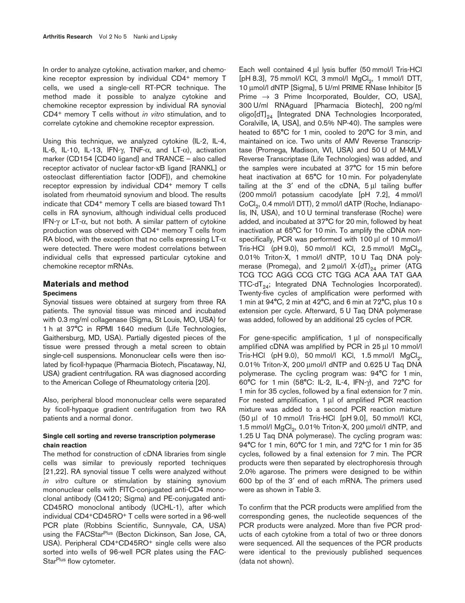In order to analyze cytokine, activation marker, and chemokine receptor expression by individual CD4+ memory T cells, we used a single-cell RT-PCR technique. The method made it possible to analyze cytokine and chemokine receptor expression by individual RA synovial CD4+ memory T cells without *in vitro* stimulation, and to correlate cytokine and chemokine receptor expression.

Using this technique, we analyzed cytokine (IL-2, IL-4, IL-6, IL-10, IL-13, IFN-γ, TNF-α, and LT-α), activation marker (CD154 [CD40 ligand] and TRANCE – also called receptor activator of nuclear factor-κB ligand [RANKL] or osteoclast differentiation factor [ODF]), and chemokine receptor expression by individual CD4+ memory T cells isolated from rheumatoid synovium and blood. The results indicate that CD4+ memory T cells are biased toward Th1 cells in RA synovium, although individual cells produced IFN-γ or LT-α, but not both. A similar pattern of cytokine production was observed with CD4+ memory T cells from RA blood, with the exception that no cells expressing  $LT-\alpha$ were detected. There were modest correlations between individual cells that expressed particular cytokine and chemokine receptor mRNAs.

### **Materials and method**

### **Specimens**

Synovial tissues were obtained at surgery from three RA patients. The synovial tissue was minced and incubated with 0.3 mg/ml collagenase (Sigma, St Louis, MO, USA) for 1 h at 37°C in RPMI 1640 medium (Life Technologies, Gaithersburg, MD, USA). Partially digested pieces of the tissue were pressed through a metal screen to obtain single-cell suspensions. Mononuclear cells were then isolated by ficoll-hypaque (Pharmacia Biotech, Piscataway, NJ, USA) gradient centrifugation. RA was diagnosed according to the American College of Rheumatology criteria [20].

Also, peripheral blood mononuclear cells were separated by ficoll-hypaque gradient centrifugation from two RA patients and a normal donor.

# **Single cell sorting and reverse transcription polymerase chain reaction**

The method for construction of cDNA libraries from single cells was similar to previously reported techniques [21,22]. RA synovial tissue T cells were analyzed without *in vitro* culture or stimulation by staining synovium mononuclear cells with FITC-conjugated anti-CD4 monoclonal antibody (Q4120; Sigma) and PE-conjugated anti-CD45RO monoclonal antibody (UCHL-1), after which individual CD4+CD45RO+ T cells were sorted in a 96-well PCR plate (Robbins Scientific, Sunnyvale, CA, USA) using the FACStar<sup>Plus</sup> (Becton Dickinson, San Jose, CA, USA). Peripheral CD4+CD45RO+ single cells were also sorted into wells of 96-well PCR plates using the FAC-Star<sup>Plus</sup> flow cytometer.

Each well contained 4 µl lysis buffer (50 mmol/l Tris-HCl [ $pH$  8.3], 75 mmol/l KCl, 3 mmol/l  $MgCl<sub>2</sub>$ , 1 mmol/l DTT, 10 µmol/l dNTP [Sigma], 5 U/ml PRIME RNase Inhibitor [5 Prime  $\rightarrow$  3 Prime Incorporated, Boulder, CO, USA], 300 U/ml RNAguard [Pharmacia Biotech], 200 ng/ml oligo[dT]<sub>24</sub> [Integrated DNA Technologies Incorporated, Coralville, IA, USA], and 0.5% NP-40). The samples were heated to 65°C for 1 min, cooled to 20°C for 3 min, and maintained on ice. Two units of AMV Reverse Transcriptase (Promega, Madison, WI, USA) and 50 U of M-MLV Reverse Transcriptase (Life Technologies) was added, and the samples were incubated at 37°C for 15 min before heat inactivation at 65°C for 10 min. For polyadenylate tailing at the  $3'$  end of the cDNA,  $5 \mu l$  tailing buffer (200 mmol/l potassium cacodylate [pH 7.2], 4 mmol/l CoCl<sub>2</sub>, 0.4 mmol/l DTT), 2 mmol/l dATP (Roche, Indianapolis, IN, USA), and 10 U terminal transferase (Roche) were added, and incubated at 37°C for 20 min, followed by heat inactivation at 65°C for 10 min. To amplify the cDNA nonspecifically, PCR was performed with 100 µl of 10 mmol/l Tris-HCl (pH 9.0), 50 mmol/l KCl, 2.5 mmol/l  $MgCl<sub>2</sub>$ , 0.01% Triton-X, 1 mmol/l dNTP, 10 U Taq DNA polymerase (Promega), and  $2 \mu$ mol/l X-(dT)<sub>24</sub> primer (ATG TCG TCC AGG CCG CTC TGG ACA AAA TAT GAA  $TTC$ -dT<sub>24</sub>; Integrated DNA Technologies Incorporated). Twenty-five cycles of amplification were performed with 1 min at 94°C, 2 min at 42°C, and 6 min at 72°C, plus 10 s extension per cycle. Afterward, 5 U Taq DNA polymerase was added, followed by an additional 25 cycles of PCR.

For gene-specific amplification, 1 µl of nonspecifically amplified cDNA was amplified by PCR in 25 µl 10 mmol/l Tris-HCl (pH 9.0), 50 mmol/l KCl, 1.5 mmol/l  $MgCl<sub>2</sub>$ , 0.01% Triton-X, 200 µmol/l dNTP and 0.625 U Taq DNA polymerase. The cycling program was: 94°C for 1 min, 60°C for 1 min (58°C: IL-2, IL-4, IFN-γ), and 72°C for 1 min for 35 cycles, followed by a final extension for 7 min. For nested amplification, 1 µl of amplified PCR reaction mixture was added to a second PCR reaction mixture (50 µl of 10 mmol/l Tris-HCl [pH 9.0], 50 mmol/l KCl, 1.5 mmol/l  $MgCl<sub>2</sub>$ , 0.01% Triton-X, 200  $\mu$ mol/l dNTP, and 1.25 U Taq DNA polymerase). The cycling program was: 94°C for 1 min, 60°C for 1 min, and 72°C for 1 min for 35 cycles, followed by a final extension for 7 min. The PCR products were then separated by electrophoresis through 2.0% agarose. The primers were designed to be within 600 bp of the 3′ end of each mRNA. The primers used were as shown in Table 3.

To confirm that the PCR products were amplified from the corresponding genes, the nucleotide sequences of the PCR products were analyzed. More than five PCR products of each cytokine from a total of two or three donors were sequenced. All the sequences of the PCR products were identical to the previously published sequences (data not shown).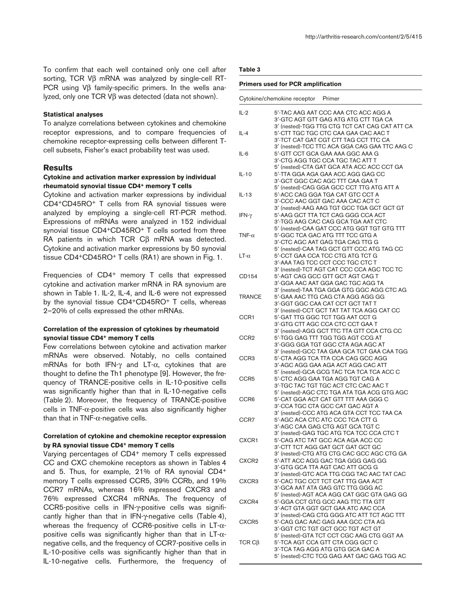To confirm that each well contained only one cell after sorting, TCR Vβ mRNA was analyzed by single-cell RT-PCR using Vβ family-specific primers. In the wells analyzed, only one TCR Vβ was detected (data not shown).

### **Statistical analyses**

To analyze correlations between cytokines and chemokine receptor expressions, and to compare frequencies of chemokine receptor-expressing cells between different Tcell subsets, Fisher's exact probability test was used.

### **Results**

### **Cytokine and activation marker expression by individual rheumatoid synovial tissue CD4+ memory T cells**

Cytokine and activation marker expressions by individual CD4+CD45RO+ T cells from RA synovial tissues were analyzed by employing a single-cell RT-PCR method. Expressions of mRNAs were analyzed in 152 individual synovial tissue CD4+CD45RO+ T cells sorted from three RA patients in which TCR Cβ mRNA was detected. Cytokine and activation marker expressions by 50 synovial tissue CD4+CD45RO+ T cells (RA1) are shown in Fig. 1.

Frequencies of CD4+ memory T cells that expressed cytokine and activation marker mRNA in RA synovium are shown in Table 1. IL-2, IL-4, and IL-6 were not expressed by the synovial tissue CD4+CD45RO+ T cells, whereas 2–20% of cells expressed the other mRNAs.

### **Correlation of the expression of cytokines by rheumatoid synovial tissue CD4+ memory T cells**

Few correlations between cytokine and activation marker mRNAs were observed. Notably, no cells contained mRNAs for both IFN-γ and LT-α, cytokines that are thought to define the Th1 phenotype [9]. However, the frequency of TRANCE-positive cells in IL-10-positive cells was significantly higher than that in IL-10-negative cells (Table 2). Moreover, the frequency of TRANCE-positive cells in  $TNF-\alpha$ -positive cells was also significantly higher than that in TNF- $\alpha$ -negative cells.

## **Correlation of cytokine and chemokine receptor expression by RA synovial tissue CD4+ memory T cells**

Varying percentages of CD4+ memory T cells expressed CC and CXC chemokine receptors as shown in Tables 4 and 5. Thus, for example, 21% of RA synovial CD4+ memory T cells expressed CCR5, 39% CCRb, and 19% CCR7 mRNAs, whereas 16% expressed CXCR3 and 76% expressed CXCR4 mRNAs. The frequency of CCR5-positive cells in IFN-γ-positive cells was significantly higher than that in IFN-γ-negative cells (Table 4), whereas the frequency of CCR6-positive cells in LT-αpositive cells was significantly higher than that in  $LT-\alpha$ negative cells, and the frequency of CCR7-positive cells in IL-10-positive cells was significantly higher than that in IL-10-negative cells. Furthermore, the frequency of

### **Table 3**

#### **Primers used for PCR amplification**

|                  | Cytokine/chemokine receptor<br>Primer                                                                                           |
|------------------|---------------------------------------------------------------------------------------------------------------------------------|
| $IL-2$           | 5'-TAC AAG AAT CCC AAA CTC ACC AGG A                                                                                            |
| $IL-4$           | 3'-GTC AGT GTT GAG ATG ATG CTT TGA CA<br>3' (nested)-TGG TTG CTG TCT CAT CAG CAT ATT CA<br>5'-CTT TGC TGC CTC CAA GAA CAC AAC T |
|                  | 3'-TCT CAT GAT CGT CTT TAG CCT TTC CA<br>3' (nested)-TCC TTC ACA GGA CAG GAA TTC AAG C                                          |
| IL-6             | 5'-GTT CCT GCA GAA AAA GGC AAA G<br>3'-CTG AGG TGC CCA TGC TAC ATT T<br>5' (nested)-CTA GAT GCA ATA ACC ACC CCT GA              |
| $IL-10$          | 5'-TTA GGA AGA GAA ACC AGG GAG CC<br>3'-GCT GGC CAC AGC TTT CAA GAA T<br>5' (nested)-CAG GGA GCC CCT TTG ATG ATT A              |
| IL-13            | 5'-ACC CAG GGA TGA CAT GTC CCT A<br>3'-CCC AAC GGT GAC AAA CAC ACT C<br>3' (nested)-AAG AAG TGT GCC TGA GCT GCT GT              |
| IFN- $\gamma$    | 5'-AAG GCT TTA TCT CAG GGG CCA ACT<br>3'-TGG AAG CAC CAG GCA TGA AAT CTC<br>5' (nested)-CAA GAT CCC ATG GGT TGT GTG TTT         |
| TNF- $\alpha$    | 5'-GGC TCA GAC ATG TTT TCC GTG A<br>3'-CTC AGC AAT GAG TGA CAG TTG G<br>5' (nested)-CAA TAG GCT GTT CCC ATG TAG CC              |
| $LT-\alpha$      | 5'-CCT GAA CCA TCC CTG ATG TCT G<br>3'-AAA TAG TCC CCT CCC TGC CTC T<br>3' (nested)-TCT AGT CAT CCC CCA AGC TCC TC              |
| CD154            | 5'-AGT CAG GCC GTT GCT AGT CAG T<br>3'-GGA AAC AAT GGA GAC TGC AGG TA<br>3' (nested)-TAA TGA GGA GTG GGC AGG CTC AG             |
| <b>TRANCE</b>    | 5'-GAA AAC TTG CAG CTA AGG AGG GG<br>3'-GGT GGC CAA CAT CCT GCT TAT T<br>3' (nested)-CCT GCT TAT TAT TCA AGG CAT CC             |
| CCR1             | 5'-GAT TTG GGC TCT TGG AAT CCT G<br>3'-GTG CTT AGC CCA CTC CCT GAA T<br>3' (nested)-AGG GCT TTC TTA GTT CCA CTG CC              |
| CCR <sub>2</sub> | 5'-TGG GAG TTT TGG TGG AGT CCG AT<br>3'-GGG GGA TGT GGC CTA AGA AGC AT<br>3' (nested)-GCC TAA GAA GCA TCT GAA CAA TGG           |
| CCR <sub>3</sub> | 5'-CTA AGG TCA TTA CCA CAG GCC AGG<br>3'-AGC AGG GAA AGA ACT AGG CAC ATT<br>5' (nested)-GCA GCG TAC TCA TCA TCA ACC C           |
| CCR <sub>5</sub> | 5'-CTC AGG GAA TGA AGG TGT CAG A<br>3'-TGC TAC TGT TGC ACT CTC CAC AAC T<br>5' (nested)-AGC CTC TGA ATA TGA ACG GTG AGC         |
| CCR <sub>6</sub> | 5'-CAT GGA ACT CAT GTT TTT AAA GGG C<br>3'-CCA TGC CTA GCC CAT GAC AGT A<br>3' (nested)-CCC ATG ACA GTA CCT TCC TAA CA          |
| CCR7             | 5'-AGC ACA CTC ATC CCC TCA CTT G<br>3'-AGC CAA GAG CTG AGT GCA TGT C<br>3' (nested)-GAG TGC ATG TCA TCC CCA CTC T               |
| CXCR1            | 5'-CAG ATC TAT GCC ACA AGA ACC CC<br>3'-CTT TCT AGG GAT GCT GAT GCT GC<br>3' (nested)-CTG ATG CTG CAC GCC AGC CTG GA            |
| CXCR2            | 5'-ATT ACC AGG GAC TGA GGG GAG GG<br>3'-GTG GCA TTA AGT CAC ATT GCG G<br>3' (nested)-GTC ACA TTG CGG TAC AAC TAT CAC            |
| CXCR3            | 5'-CAC TGC CCT TCT CAT TTG GAA ACT<br>3'-GCA AAT ATA GAG GTC TTG GGG AC<br>5' (nested)-AGT ACA AGG CAT GGC GTA GAG GG           |
| CXCR4            | 5'-GGA CCT GTG GCC AAG TTC TTA GTT<br>3'-ACT GTA GGT GCT GAA ATC AAC CCA<br>3' (nested)-CAG CTG GGG ATC ATT TCT AGC TTT         |
| CXCR5            | 5'-CAG GAC AAC GAG AAA GCC CTA AG<br>3'-GGT CTC TGT GCT GCC TGT ACT GT<br>5' (nested)-GTA TCT CCT CGC AAG CTG GGT AA            |
| TCR $C\beta$     | 5'-TCA AGT CCA GTT CTA CGG GCT C<br>3'-TCA TAG AGG ATG GTG GCA GAC A<br>5' (nested)-CTC TCG GAG AAT GAC GAG TGG AC              |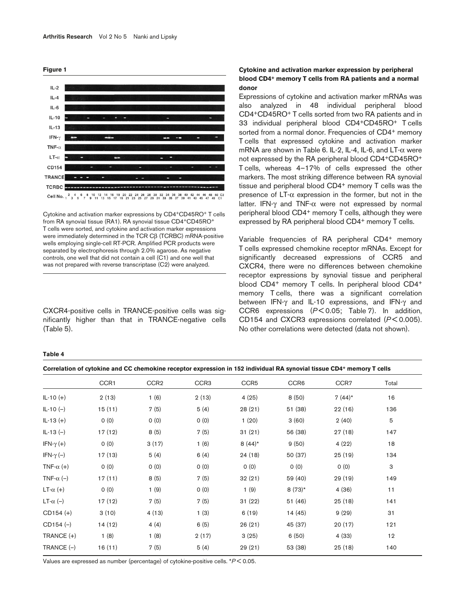



Cytokine and activation marker expressions by CD4+CD45RO+ T cells from RA synovial tissue (RA1). RA synovial tissue CD4+CD45RO+ T cells were sorted, and cytokine and activation marker expressions were immediately determined in the TCR Cβ (TCRBC) mRNA-positive wells employing single-cell RT-PCR. Amplified PCR products were separated by electrophoresis through 2.0% agarose. As negative controls, one well that did not contain a cell (C1) and one well that was not prepared with reverse transcriptase (C2) were analyzed.

CXCR4-positive cells in TRANCE-positive cells was significantly higher than that in TRANCE-negative cells (Table 5).

### **Cytokine and activation marker expression by peripheral blood CD4+ memory T cells from RA patients and a normal donor**

Expressions of cytokine and activation marker mRNAs was also analyzed in 48 individual peripheral blood CD4+CD45RO+ T cells sorted from two RA patients and in 33 individual peripheral blood CD4+CD45RO+ T cells sorted from a normal donor. Frequencies of CD4<sup>+</sup> memory T cells that expressed cytokine and activation marker mRNA are shown in Table 6. IL-2, IL-4, IL-6, and LT-α were not expressed by the RA peripheral blood CD4+CD45RO+ T cells, whereas 4–17% of cells expressed the other markers. The most striking difference between RA synovial tissue and peripheral blood CD4<sup>+</sup> memory T cells was the presence of  $LT-\alpha$  expression in the former, but not in the latter. IFN-γ and TNF-α were not expressed by normal peripheral blood CD4+ memory T cells, although they were expressed by RA peripheral blood CD4+ memory T cells.

Variable frequencies of RA peripheral CD4+ memory T cells expressed chemokine receptor mRNAs. Except for significantly decreased expressions of CCR5 and CXCR4, there were no differences between chemokine receptor expressions by synovial tissue and peripheral blood CD4+ memory T cells. In peripheral blood CD4+ memory T cells, there was a significant correlation between IFN-γ and IL-10 expressions, and IFN-γ and CCR6 expressions (*P* < 0.05; Table 7). In addition, CD154 and CXCR3 expressions correlated ( $P$ < 0.005). No other correlations were detected (data not shown).

#### **Table 4**

|                   |        |                  |                  |                  |                  | CONTENTION OF CALING AND CONTENTIONING TECTOR CAPTERS ION IN THE INDIVIDUAL AM SYNOVIAL USSUE CD'T THEINOLY I CENS |       |
|-------------------|--------|------------------|------------------|------------------|------------------|--------------------------------------------------------------------------------------------------------------------|-------|
|                   | CCR1   | CCR <sub>2</sub> | CCR <sub>3</sub> | CCR <sub>5</sub> | CCR <sub>6</sub> | CCR7                                                                                                               | Total |
| $IL-10 (+)$       | 2(13)  | 1(6)             | 2(13)            | 4(25)            | 8(50)            | $7(44)$ *                                                                                                          | 16    |
| $IL-10(-)$        | 15(11) | 7(5)             | 5(4)             | 28(21)           | 51 (38)          | 22(16)                                                                                                             | 136   |
| $IL-13 (+)$       | 0(0)   | 0(0)             | 0(0)             | 1(20)            | 3(60)            | 2(40)                                                                                                              | 5     |
| $IL-13(-)$        | 17(12) | 8(5)             | 7(5)             | 31(21)           | 56 (38)          | 27(18)                                                                                                             | 147   |
| IFN- $\gamma$ (+) | 0(0)   | 3(17)            | 1(6)             | $8(44)^*$        | 9(50)            | 4(22)                                                                                                              | 18    |
| IFN- $\gamma$ (-) | 17(13) | 5(4)             | 6(4)             | 24 (18)          | 50 (37)          | 25 (19)                                                                                                            | 134   |
| TNF- $\alpha$ (+) | 0(0)   | 0(0)             | 0(0)             | 0(0)             | 0(0)             | 0(0)                                                                                                               | 3     |
| TNF- $\alpha$ (-) | 17(11) | 8(5)             | 7(5)             | 32(21)           | 59 (40)          | 29 (19)                                                                                                            | 149   |
| LT- $\alpha$ (+)  | 0(0)   | 1(9)             | 0(0)             | 1(9)             | $8(73)*$         | 4(36)                                                                                                              | 11    |
| LT- $\alpha$ (-)  | 17(12) | 7(5)             | 7(5)             | 31(22)           | 51 (46)          | 25(18)                                                                                                             | 141   |
| $CD154 (+)$       | 3(10)  | 4(13)            | 1(3)             | 6(19)            | 14 (45)          | 9(29)                                                                                                              | 31    |
| $CD154 (-)$       | 14(12) | 4(4)             | 6(5)             | 26(21)           | 45 (37)          | 20(17)                                                                                                             | 121   |
| TRANCE (+)        | 1(8)   | 1(8)             | 2(17)            | 3(25)            | 6(50)            | 4 (33)                                                                                                             | 12    |
| TRANCE $(-)$      | 16(11) | 7(5)             | 5(4)             | 29(21)           | 53 (38)          | 25(18)                                                                                                             | 140   |

**Correlation of cytokine and CC chemokine receptor expression in 152 individual RA synovial tissue CD4+ memory T cells**

Values are expressed as number (percentage) of cytokine-positive cells. \**P* < 0.05.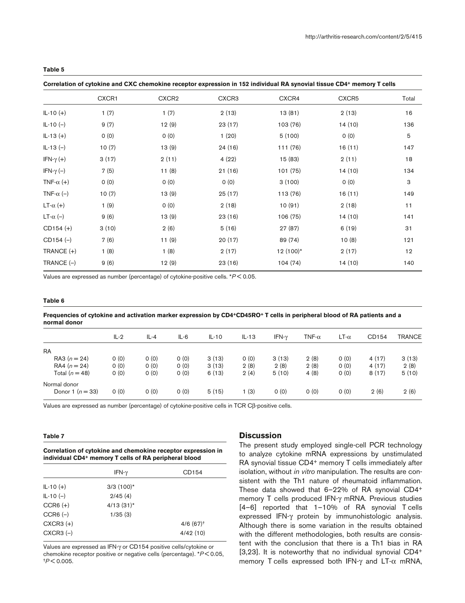**Table 5**

**Correlation of cytokine and CXC chemokine receptor expression in 152 individual RA synovial tissue CD4+ memory T cells**

|                   | CXCR1 | CXCR <sub>2</sub> | CXCR <sub>3</sub> | CXCR4       | CXCR <sub>5</sub> | Total |
|-------------------|-------|-------------------|-------------------|-------------|-------------------|-------|
| $IL-10 (+)$       | 1(7)  | 1(7)              | 2(13)             | 13(81)      | 2(13)             | 16    |
| $IL-10(-)$        | 9(7)  | 12(9)             | 23(17)            | 103 (76)    | 14(10)            | 136   |
| $IL-13 (+)$       | 0(0)  | 0(0)              | 1(20)             | 5(100)      | 0(0)              | 5     |
| $IL-13(-)$        | 10(7) | 13(9)             | 24 (16)           | 111 (76)    | 16(11)            | 147   |
| IFN- $\gamma$ (+) | 3(17) | 2(11)             | 4(22)             | 15 (83)     | 2(11)             | 18    |
| IFN- $\gamma$ (-) | 7(5)  | 11(8)             | 21(16)            | 101 (75)    | 14(10)            | 134   |
| TNF- $\alpha$ (+) | 0(0)  | 0(0)              | 0(0)              | 3(100)      | 0(0)              | 3     |
| TNF- $\alpha$ (-) | 10(7) | 13(9)             | 25(17)            | 113 (76)    | 16(11)            | 149   |
| $LT-\alpha (+)$   | 1(9)  | 0(0)              | 2(18)             | 10(91)      | 2(18)             | 11    |
| $LT-\alpha$ (-)   | 9(6)  | 13(9)             | 23(16)            | 106 (75)    | 14(10)            | 141   |
| $CD154 (+)$       | 3(10) | 2(6)              | 5(16)             | 27 (87)     | 6(19)             | 31    |
| $CD154 (-)$       | 7(6)  | 11(9)             | 20(17)            | 89 (74)     | 10(8)             | 121   |
| TRANCE $(+)$      | 1(8)  | 1(8)              | 2(17)             | $12(100)^*$ | 2(17)             | 12    |
| TRANCE $(-)$      | 9(6)  | 12(9)             | 23(16)            | 104(74)     | 14(10)            | 140   |

Values are expressed as number (percentage) of cytokine-positive cells. \**P* < 0.05.

#### **Table 6**

#### **Frequencies of cytokine and activation marker expression by CD4+CD45RO+ T cells in peripheral blood of RA patients and a normal donor**

|                  | $IL-2$ | $IL - 4$ | $IL-6$ | $IL-10$ | $IL-13$ | IFN- $\gamma$ | TNF- $\alpha$ | $LT-\alpha$ | CD154 | <b>TRANCE</b> |
|------------------|--------|----------|--------|---------|---------|---------------|---------------|-------------|-------|---------------|
| <b>RA</b>        |        |          |        |         |         |               |               |             |       |               |
| RA3 $(n = 24)$   | O(0)   | 0(0)     | O(0)   | 3(13)   | 0(0)    | 3(13)         | 2(8)          | 0(0)        | 4(17) | 3(13)         |
| RA4 $(n = 24)$   | O(0)   | O(0)     | 0(0)   | 3(13)   | 2(8)    | 2(8)          | 2(8)          | 0(0)        | 4(17) | 2(8)          |
| Total $(n = 48)$ | O(0)   | 0(0)     | O(0)   | 6(13)   | 2(4)    | 5(10)         | 4(8)          | 0(0)        | 8(17) | 5(10)         |
| Normal donor     |        |          |        |         |         |               |               |             |       |               |
| Donor 1 $(n=33)$ | O(0)   | 0(0)     | O(0)   | 5(15)   | l (3)   | 0(0)          | 0(0)          | 0(0)        | 2(6)  | 2(6)          |

Values are expressed as number (percentage) of cytokine-positive cells in TCR Cβ-positive cells.

#### **Table 7**

#### **Correlation of cytokine and chemokine receptor expression in individual CD4+ memory T cells of RA peripheral blood**

|               | IFN- $\gamma$ | CD154                   |
|---------------|---------------|-------------------------|
| $IL-10 (+)$   | $3/3$ (100)*  |                         |
| $IL-10(-)$    | 2/45(4)       |                         |
| $CCR6 (+)$    | $4/13(31)$ *  |                         |
| $CCR6 (-)$    | 1/35(3)       |                         |
| $CXCR3 (+)$   |               | $4/6$ (67) <sup>+</sup> |
| $CXCR3$ $(-)$ |               | 4/42(10)                |

Values are expressed as IFN-γ or CD154 positive cells/cytokine or chemokine receptor positive or negative cells (percentage). \**P* < 0.05, †*P* < 0.005.

### **Discussion**

The present study employed single-cell PCR technology to analyze cytokine mRNA expressions by unstimulated RA synovial tissue CD4+ memory T cells immediately after isolation, without *in vitro* manipulation. The results are consistent with the Th1 nature of rheumatoid inflammation. These data showed that 6–22% of RA synovial CD4+ memory T cells produced IFN-γ mRNA. Previous studies [4–6] reported that 1–10% of RA synovial T cells expressed IFN-γ protein by immunohistologic analysis. Although there is some variation in the results obtained with the different methodologies, both results are consistent with the conclusion that there is a Th1 bias in RA [3,23]. It is noteworthy that no individual synovial CD4<sup>+</sup> memory T cells expressed both IFN- $\gamma$  and LT- $\alpha$  mRNA,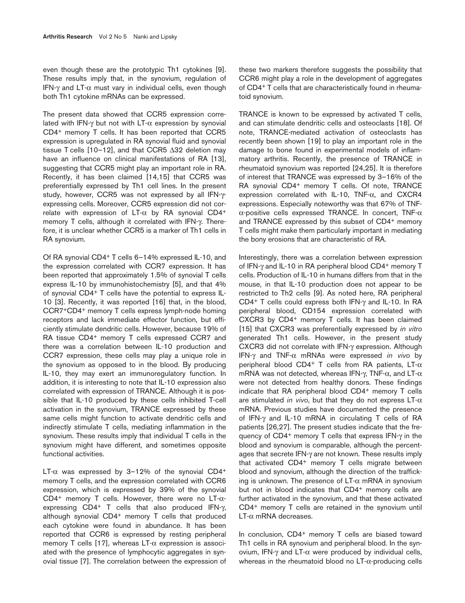even though these are the prototypic Th1 cytokines [9]. These results imply that, in the synovium, regulation of IFN-γ and LT-α must vary in individual cells, even though both Th1 cytokine mRNAs can be expressed.

The present data showed that CCR5 expression correlated with IFN- $\gamma$  but not with LT- $\alpha$  expression by synovial CD4+ memory T cells. It has been reported that CCR5 expression is upregulated in RA synovial fluid and synovial tissue T cells [10–12], and that CCR5 ∆32 deletion may have an influence on clinical manifestations of RA [13]. suggesting that CCR5 might play an important role in RA. Recently, it has been claimed [14,15] that CCR5 was preferentially expressed by Th1 cell lines. In the present study, however, CCR5 was not expressed by all IFN-γexpressing cells. Moreover, CCR5 expression did not correlate with expression of LT- $\alpha$  by RA synovial CD4<sup>+</sup> memory T cells, although it correlated with IFN-γ. Therefore, it is unclear whether CCR5 is a marker of Th1 cells in RA synovium.

Of RA synovial CD4+ T cells 6–14% expressed IL-10, and the expression correlated with CCR7 expression. It has been reported that approximately 1.5% of synovial T cells express IL-10 by immunohistochemistry [5], and that 4% of synovial CD4+ T cells have the potential to express IL-10 [3]. Recently, it was reported [16] that, in the blood, CCR7+CD4+ memory T cells express lymph-node homing receptors and lack immediate effector function, but efficiently stimulate dendritic cells. However, because 19% of RA tissue CD4<sup>+</sup> memory T cells expressed CCR7 and there was a correlation between IL-10 production and CCR7 expression, these cells may play a unique role in the synovium as opposed to in the blood. By producing IL-10, they may exert an immunoregulatory function. In addition, it is interesting to note that IL-10 expression also correlated with expression of TRANCE. Although it is possible that IL-10 produced by these cells inhibited T-cell activation in the synovium, TRANCE expressed by these same cells might function to activate dendritic cells and indirectly stimulate T cells, mediating inflammation in the synovium. These results imply that individual T cells in the synovium might have different, and sometimes opposite functional activities.

LT- $\alpha$  was expressed by 3-12% of the synovial CD4+ memory T cells, and the expression correlated with CCR6 expression, which is expressed by 39% of the synovial CD4<sup>+</sup> memory T cells. However, there were no LT- $\alpha$ expressing  $CD4^+$  T cells that also produced IFN- $\gamma$ , although synovial CD4+ memory T cells that produced each cytokine were found in abundance. It has been reported that CCR6 is expressed by resting peripheral memory T cells [17], whereas  $LT-\alpha$  expression is associated with the presence of lymphocytic aggregates in synovial tissue [7]. The correlation between the expression of these two markers therefore suggests the possibility that CCR6 might play a role in the development of aggregates of CD4+ T cells that are characteristically found in rheumatoid synovium.

TRANCE is known to be expressed by activated T cells, and can stimulate dendritic cells and osteoclasts [18]. Of note, TRANCE-mediated activation of osteoclasts has recently been shown [19] to play an important role in the damage to bone found in experimental models of inflammatory arthritis. Recently, the presence of TRANCE in rheumatoid synovium was reported [24,25]. It is therefore of interest that TRANCE was expressed by 3–16% of the RA synovial CD4<sup>+</sup> memory T cells. Of note, TRANCE expression correlated with IL-10, TNF-α, and CXCR4 expressions. Especially noteworthy was that 67% of TNFα-positive cells expressed TRANCE. In concert, TNF-α and TRANCE expressed by this subset of CD4+ memory T cells might make them particularly important in mediating the bony erosions that are characteristic of RA.

Interestingly, there was a correlation between expression of IFN-γ and IL-10 in RA peripheral blood CD4+ memory T cells. Production of IL-10 in humans differs from that in the mouse, in that IL-10 production does not appear to be restricted to Th2 cells [9]. As noted here, RA peripheral CD4+ T cells could express both IFN-γ and IL-10. In RA peripheral blood, CD154 expression correlated with CXCR3 by CD4<sup>+</sup> memory T cells. It has been claimed [15] that CXCR3 was preferentially expressed by *in vitro* generated Th1 cells. However, in the present study CXCR3 did not correlate with IFN-γ expression. Although IFN-γ and TNF-α mRNAs were expressed *in vivo* by peripheral blood CD4+ T cells from RA patients, LT-α mRNA was not detected, whereas IFN-γ, TNF- $\alpha$ , and LT- $\alpha$ were not detected from healthy donors. These findings indicate that RA peripheral blood CD4+ memory T cells are stimulated *in vivo*, but that they do not express  $LT-\alpha$ mRNA. Previous studies have documented the presence of IFN-γ and IL-10 mRNA in circulating T cells of RA patients [26,27]. The present studies indicate that the frequency of CD4+ memory T cells that express IFN-γ in the blood and synovium is comparable, although the percentages that secrete IFN-γ are not known. These results imply that activated CD4+ memory T cells migrate between blood and synovium, although the direction of the trafficking is unknown. The presence of  $LT-\alpha$  mRNA in synovium but not in blood indicates that CD4<sup>+</sup> memory cells are further activated in the synovium, and that these activated CD4+ memory T cells are retained in the synovium until LT-α mRNA decreases.

In conclusion, CD4+ memory T cells are biased toward Th1 cells in RA synovium and peripheral blood. In the synovium, IFN-γ and LT-α were produced by individual cells, whereas in the rheumatoid blood no LT-α-producing cells